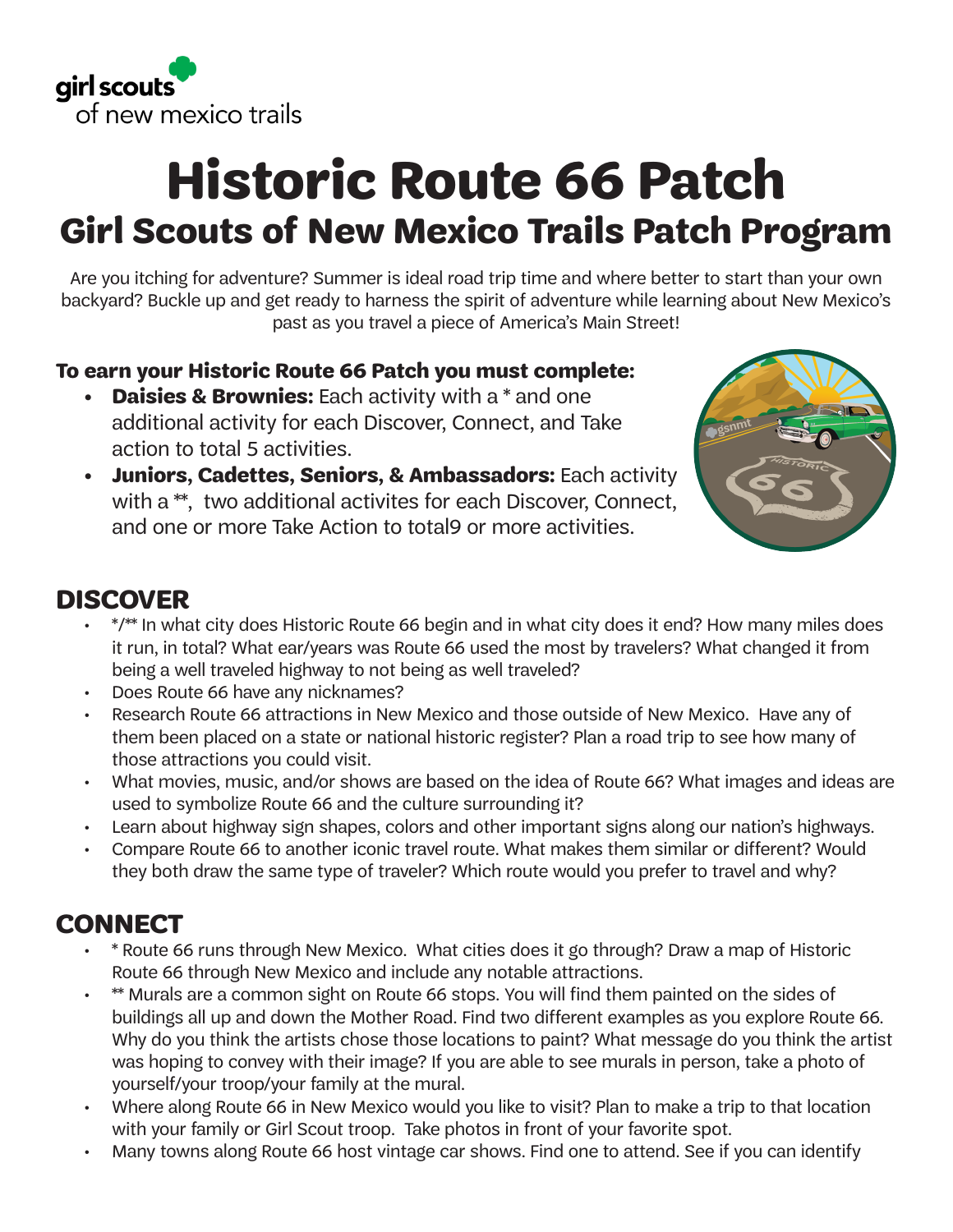

# **Historic Route 66 Patch Girl Scouts of New Mexico Trails Patch Program**

Are you itching for adventure? Summer is ideal road trip time and where better to start than your own backyard? Buckle up and get ready to harness the spirit of adventure while learning about New Mexico's past as you travel a piece of America's Main Street!

#### **To earn your Historic Route 66 Patch you must complete:**

- **Daisies & Brownies:** Each activity with a  $*$  and one additional activity for each Discover, Connect, and Take action to total 5 activities.
- **• Juniors, Cadettes, Seniors, & Ambassadors:** Each activity with a \*\*, two additional activites for each Discover, Connect, and one or more Take Action to total9 or more activities.



## **DISCOVER**

- \*/\*\* In what city does Historic Route 66 begin and in what city does it end? How many miles does it run, in total? What ear/years was Route 66 used the most by travelers? What changed it from being a well traveled highway to not being as well traveled?
- Does Route 66 have any nicknames?
- Research Route 66 attractions in New Mexico and those outside of New Mexico. Have any of them been placed on a state or national historic register? Plan a road trip to see how many of those attractions you could visit.
- What movies, music, and/or shows are based on the idea of Route 66? What images and ideas are used to symbolize Route 66 and the culture surrounding it?
- Learn about highway sign shapes, colors and other important signs along our nation's highways.
- Compare Route 66 to another iconic travel route. What makes them similar or different? Would they both draw the same type of traveler? Which route would you prefer to travel and why?

# **CONNECT**

- \* Route 66 runs through New Mexico. What cities does it go through? Draw a map of Historic Route 66 through New Mexico and include any notable attractions.
- \* Murals are a common sight on Route 66 stops. You will find them painted on the sides of buildings all up and down the Mother Road. Find two different examples as you explore Route 66. Why do you think the artists chose those locations to paint? What message do you think the artist was hoping to convey with their image? If you are able to see murals in person, take a photo of yourself/your troop/your family at the mural.
- Where along Route 66 in New Mexico would you like to visit? Plan to make a trip to that location with your family or Girl Scout troop. Take photos in front of your favorite spot.
- Many towns along Route 66 host vintage car shows. Find one to attend. See if you can identify